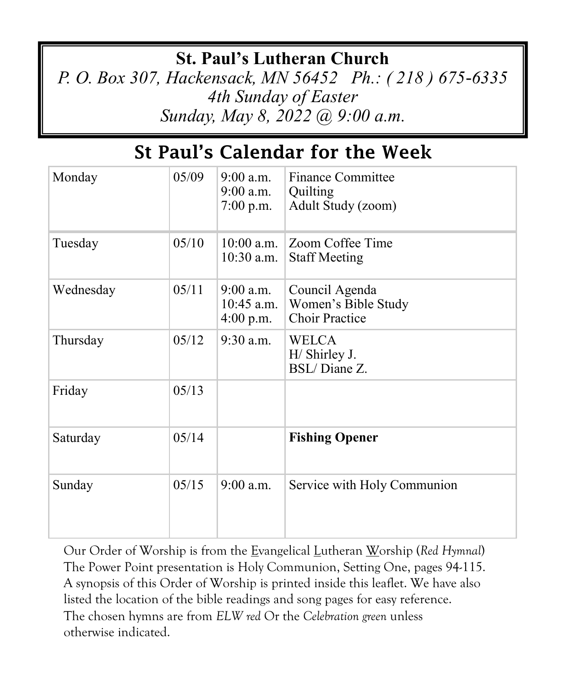## **St. Paul's Lutheran Church**

*P. O. Box 307, Hackensack, MN 56452 Ph.: ( 218 ) 675-6335 4th Sunday of Easter Sunday, May 8, 2022 @ 9:00 a.m.*

# St Paul's Calendar for the Week

| Monday    | 05/09 | $9:00$ a.m.<br>$9:00$ a.m.<br>$7:00$ p.m. | <b>Finance Committee</b><br>Quilting<br>Adult Study (zoom)     |
|-----------|-------|-------------------------------------------|----------------------------------------------------------------|
| Tuesday   | 05/10 | $10:00$ a.m.<br>$10:30$ a.m.              | Zoom Coffee Time<br><b>Staff Meeting</b>                       |
| Wednesday | 05/11 | $9:00$ a.m.<br>10:45 a.m.<br>$4:00$ p.m.  | Council Agenda<br>Women's Bible Study<br><b>Choir Practice</b> |
| Thursday  | 05/12 | $9:30$ a.m.                               | <b>WELCA</b><br>H/ Shirley J.<br>BSL/Diane Z.                  |
| Friday    | 05/13 |                                           |                                                                |
| Saturday  | 05/14 |                                           | <b>Fishing Opener</b>                                          |
| Sunday    | 05/15 | $9:00$ a.m.                               | Service with Holy Communion                                    |

Our Order of Worship is from the Evangelical Lutheran Worship (*Red Hymnal*) The Power Point presentation is Holy Communion, Setting One, pages 94-115. A synopsis of this Order of Worship is printed inside this leaflet. We have also listed the location of the bible readings and song pages for easy reference. The chosen hymns are from *ELW red* Or the *Celebration green* unless otherwise indicated.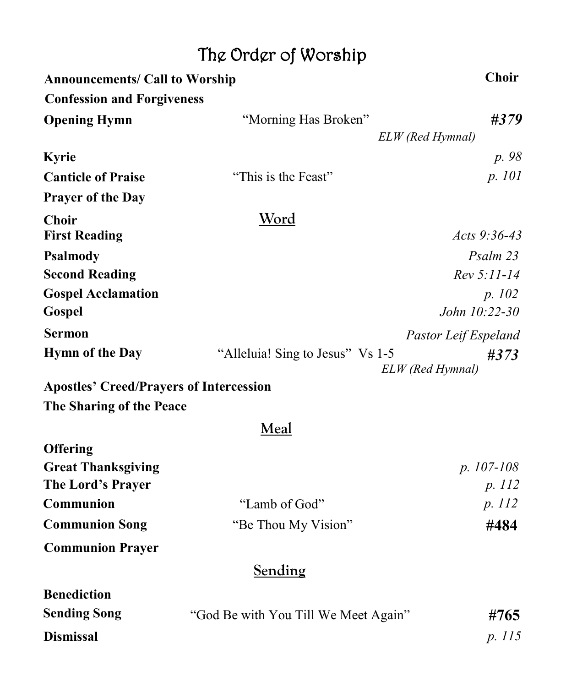# The Order of Worship

| <b>Announcements/ Call to Worship</b>          |                      | <b>Choir</b>                                 |  |  |
|------------------------------------------------|----------------------|----------------------------------------------|--|--|
| <b>Confession and Forgiveness</b>              |                      |                                              |  |  |
| <b>Opening Hymn</b>                            | "Morning Has Broken" | #379                                         |  |  |
|                                                |                      | ELW (Red Hymnal)                             |  |  |
| <b>Kyrie</b>                                   |                      | p. 98                                        |  |  |
| <b>Canticle of Praise</b>                      | "This is the Feast"  | p. 101                                       |  |  |
| <b>Prayer of the Day</b>                       |                      |                                              |  |  |
| <b>Choir</b>                                   | Word                 |                                              |  |  |
| <b>First Reading</b>                           |                      | Acts 9:36-43                                 |  |  |
| <b>Psalmody</b>                                |                      | Psalm 23                                     |  |  |
| <b>Second Reading</b>                          |                      | $Rev 5:11-14$                                |  |  |
| <b>Gospel Acclamation</b>                      |                      | p. 102                                       |  |  |
| Gospel                                         |                      | John 10:22-30                                |  |  |
| <b>Sermon</b>                                  |                      | Pastor Leif Espeland                         |  |  |
| <b>Hymn of the Day</b>                         |                      | "Alleluia! Sing to Jesus" Vs 1-5<br>#373     |  |  |
|                                                |                      | ELW (Red Hymnal)                             |  |  |
| <b>Apostles' Creed/Prayers of Intercession</b> |                      |                                              |  |  |
| The Sharing of the Peace                       |                      |                                              |  |  |
|                                                | Meal                 |                                              |  |  |
| <b>Offering</b>                                |                      |                                              |  |  |
| <b>Great Thanksgiving</b>                      |                      | $p. 107-108$                                 |  |  |
| The Lord's Prayer                              |                      | p. 112                                       |  |  |
| Communion                                      | "Lamb of God"        | p. 112                                       |  |  |
| <b>Communion Song</b>                          | "Be Thou My Vision"  | #484                                         |  |  |
| <b>Communion Prayer</b>                        |                      |                                              |  |  |
|                                                | Sending              |                                              |  |  |
| <b>Benediction</b>                             |                      |                                              |  |  |
| <b>Sending Song</b>                            |                      | "God Be with You Till We Meet Again"<br>#765 |  |  |
| <b>Dismissal</b>                               |                      | p. 115                                       |  |  |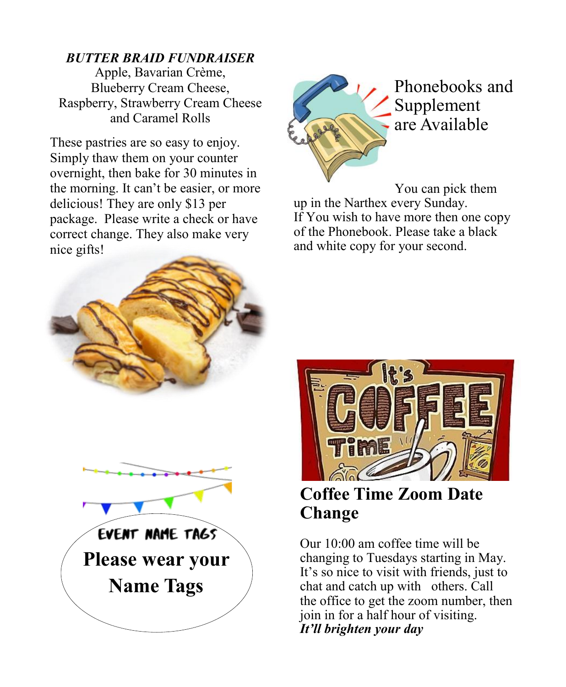#### *BUTTER BRAID FUNDRAISER*

Apple, Bavarian Crème, Blueberry Cream Cheese, Raspberry, Strawberry Cream Cheese and Caramel Rolls

These pastries are so easy to enjoy. Simply thaw them on your counter overnight, then bake for 30 minutes in the morning. It can't be easier, or more delicious! They are only \$13 per package. Please write a check or have correct change. They also make very nice gifts!







Phonebooks and Supplement are Available

You can pick them up in the Narthex every Sunday. If You wish to have more then one copy of the Phonebook. Please take a black and white copy for your second.



**Coffee Time Zoom Date Change**

Our 10:00 am coffee time will be changing to Tuesdays starting in May. It's so nice to visit with friends, just to chat and catch up with others. Call the office to get the zoom number, then join in for a half hour of visiting. *It'll brighten your day*